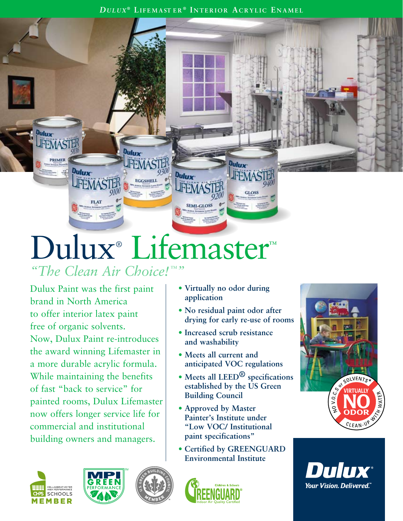## Dulux® Lifemaster™ *"The Clean Air Choice! "™*

Dulux Paint was the first paint brand in North America to offer interior latex paint free of organic solvents. Now, Dulux Paint re-introduces the award winning Lifemaster in a more durable acrylic formula. While maintaining the benefits of fast "back to service" for painted rooms, Dulux Lifemaster now offers longer service life for commercial and institutional building owners and managers.

**Dulux** 







**• Virtually no odor during** 

**• No residual paint odor after** 

**Dulux** 

**JFEMAS** 

GLOS

**anticipated VOC regulations**

**established by the US Green** 

**• Certified by GREENGUARD Environmental Institute**

**• Increased scrub resistance** 

**and washability**

**Building Council**

**• Approved by Master Painter's Institute under "Low VOC/ Institutional** 

**paint specifications"**

**• Meets all current and** 

**application**

**Dulux** 

**JFEMAS** 

**SEMI-GLOSS**